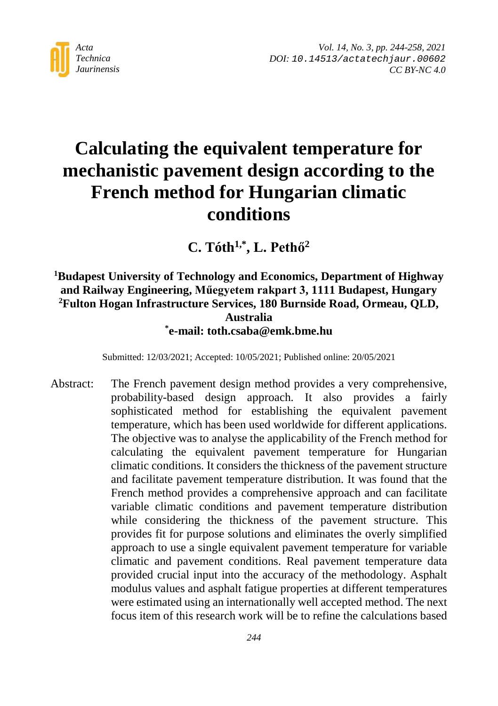

*Vol. 14, No. 3, pp. 244-258, 2021 DOI: [10.14513/actatechjaur.00602](https://dx.doi.org/10.14513/actatechjaur.00602) CC BY-NC 4.0*

# **Calculating the equivalent temperature for mechanistic pavement design according to the French method for Hungarian climatic conditions**

**C. Tóth1,\*, L. Pethő<sup>2</sup>**

### **1 Budapest University of Technology and Economics, Department of Highway and Railway Engineering, Műegyetem rakpart 3, 1111 Budapest, Hungary 2 Fulton Hogan Infrastructure Services, 180 Burnside Road, Ormeau, QLD, Australia \* e-mail: toth.csaba@emk.bme.hu**

Submitted: 12/03/2021; Accepted: 10/05/2021; Published online: 20/05/2021

Abstract: The French pavement design method provides a very comprehensive, probability-based design approach. It also provides a fairly sophisticated method for establishing the equivalent pavement temperature, which has been used worldwide for different applications. The objective was to analyse the applicability of the French method for calculating the equivalent pavement temperature for Hungarian climatic conditions. It considers the thickness of the pavement structure and facilitate pavement temperature distribution. It was found that the French method provides a comprehensive approach and can facilitate variable climatic conditions and pavement temperature distribution while considering the thickness of the pavement structure. This provides fit for purpose solutions and eliminates the overly simplified approach to use a single equivalent pavement temperature for variable climatic and pavement conditions. Real pavement temperature data provided crucial input into the accuracy of the methodology. Asphalt modulus values and asphalt fatigue properties at different temperatures were estimated using an internationally well accepted method. The next focus item of this research work will be to refine the calculations based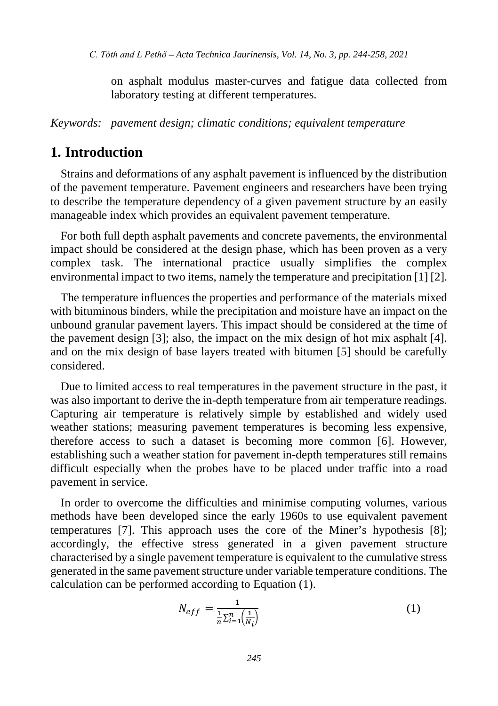on asphalt modulus master-curves and fatigue data collected from laboratory testing at different temperatures.

*Keywords: pavement design; climatic conditions; equivalent temperature*

### **1. Introduction**

Strains and deformations of any asphalt pavement is influenced by the distribution of the pavement temperature. Pavement engineers and researchers have been trying to describe the temperature dependency of a given pavement structure by an easily manageable index which provides an equivalent pavement temperature.

For both full depth asphalt pavements and concrete pavements, the environmental impact should be considered at the design phase, which has been proven as a very complex task. The international practice usually simplifies the complex environmental impact to two items, namely the temperature and precipitation [1] [2].

The temperature influences the properties and performance of the materials mixed with bituminous binders, while the precipitation and moisture have an impact on the unbound granular pavement layers. This impact should be considered at the time of the pavement design [3]; also, the impact on the mix design of hot mix asphalt [4]. and on the mix design of base layers treated with bitumen [5] should be carefully considered.

Due to limited access to real temperatures in the pavement structure in the past, it was also important to derive the in-depth temperature from air temperature readings. Capturing air temperature is relatively simple by established and widely used weather stations; measuring pavement temperatures is becoming less expensive, therefore access to such a dataset is becoming more common [6]. However, establishing such a weather station for pavement in-depth temperatures still remains difficult especially when the probes have to be placed under traffic into a road pavement in service.

In order to overcome the difficulties and minimise computing volumes, various methods have been developed since the early 1960s to use equivalent pavement temperatures [7]. This approach uses the core of the Miner's hypothesis [8]; accordingly, the effective stress generated in a given pavement structure characterised by a single pavement temperature is equivalent to the cumulative stress generated in the same pavement structure under variable temperature conditions. The calculation can be performed according to Equation (1).

$$
N_{eff} = \frac{1}{\frac{1}{n} \sum_{i=1}^{n} (\frac{1}{N_i})}
$$
 (1)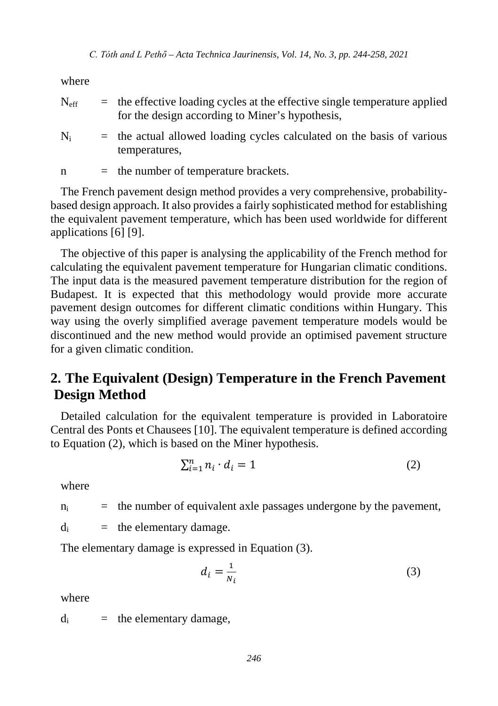where

| $N_{\rm eff}$ | $\equiv$ the effective loading cycles at the effective single temperature applied<br>for the design according to Miner's hypothesis, |
|---------------|--------------------------------------------------------------------------------------------------------------------------------------|
| $N_{\rm i}$   | $=$ the actual allowed loading cycles calculated on the basis of various<br>temperatures.                                            |

 $n =$  the number of temperature brackets.

The French pavement design method provides a very comprehensive, probabilitybased design approach. It also provides a fairly sophisticated method for establishing the equivalent pavement temperature, which has been used worldwide for different applications [6] [9].

The objective of this paper is analysing the applicability of the French method for calculating the equivalent pavement temperature for Hungarian climatic conditions. The input data is the measured pavement temperature distribution for the region of Budapest. It is expected that this methodology would provide more accurate pavement design outcomes for different climatic conditions within Hungary. This way using the overly simplified average pavement temperature models would be discontinued and the new method would provide an optimised pavement structure for a given climatic condition.

# **2. The Equivalent (Design) Temperature in the French Pavement Design Method**

Detailed calculation for the equivalent temperature is provided in Laboratoire Central des Ponts et Chausees [10]. The equivalent temperature is defined according to Equation (2), which is based on the Miner hypothesis.

$$
\sum_{i=1}^{n} n_i \cdot d_i = 1 \tag{2}
$$

where

 $n_i$  = the number of equivalent axle passages undergone by the pavement,

 $d_i$  = the elementary damage.

The elementary damage is expressed in Equation (3).

$$
d_i = \frac{1}{N_i} \tag{3}
$$

where

 $d_i$  = the elementary damage,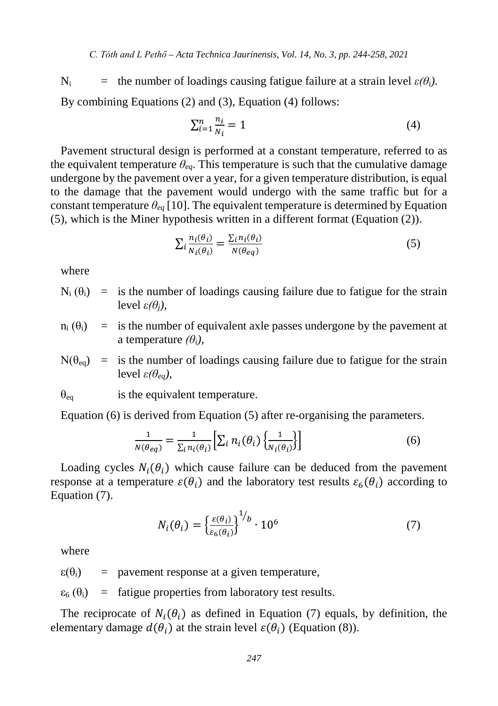$N_i$  = the number of loadings causing fatigue failure at a strain level  $\varepsilon(\theta_i)$ . By combining Equations (2) and (3), Equation (4) follows:

$$
\sum_{i=1}^{n} \frac{n_i}{N_i} = 1\tag{4}
$$

Pavement structural design is performed at a constant temperature, referred to as the equivalent temperature  $\theta_{ea}$ . This temperature is such that the cumulative damage undergone by the pavement over a year, for a given temperature distribution, is equal to the damage that the pavement would undergo with the same traffic but for a constant temperature  $\theta_{eq}$  [10]. The equivalent temperature is determined by Equation (5), which is the Miner hypothesis written in a different format (Equation (2)).

$$
\sum_{i} \frac{n_i(\theta_i)}{N_i(\theta_i)} = \frac{\sum_{i} n_i(\theta_i)}{N(\theta_{eq})}
$$
\n(5)

where

 $N_i$  ( $\theta_i$ ) = is the number of loadings causing failure due to fatigue for the strain level *ε(θj)*,

 $n_i$  ( $\theta_i$ ) = is the number of equivalent axle passes undergone by the pavement at a temperature *(θi)*,

$$
N(\theta_{eq})
$$
 = is the number of loadings causing failure due to fatigue for the strain  
level  $\varepsilon(\theta_{eq})$ ,

 $\theta_{eq}$  is the equivalent temperature.

Equation (6) is derived from Equation (5) after re-organising the parameters.

$$
\frac{1}{N(\theta_{eq})} = \frac{1}{\sum_{i} n_i(\theta_i)} \left[ \sum_{i} n_i(\theta_i) \left\{ \frac{1}{N_i(\theta_i)} \right\} \right]
$$
(6)

Loading cycles  $N_i(\theta_i)$  which cause failure can be deduced from the pavement response at a temperature  $\varepsilon(\theta_i)$  and the laboratory test results  $\varepsilon_\varepsilon(\theta_i)$  according to Equation (7).

$$
N_i(\theta_i) = \left\{ \frac{\varepsilon(\theta_i)}{\varepsilon_6(\theta_i)} \right\}^{1/b} \cdot 10^6 \tag{7}
$$

where

 $\varepsilon(\theta_i)$  = pavement response at a given temperature,

 $\varepsilon_6$  ( $\theta_i$ ) = fatigue properties from laboratory test results.

The reciprocate of  $N_i(\theta_i)$  as defined in Equation (7) equals, by definition, the elementary damage  $d(\theta_i)$  at the strain level  $\varepsilon(\theta_i)$  (Equation (8)).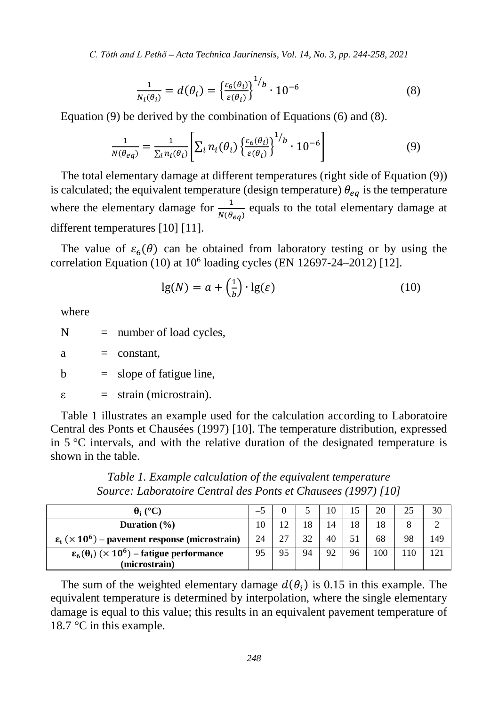*C. Tóth and L Pethő – Acta Technica Jaurinensis, Vol. 14, No. 3, pp. 244-258, 2021*

$$
\frac{1}{N_i(\theta_i)} = d(\theta_i) = \left\{ \frac{\varepsilon_6(\theta_i)}{\varepsilon(\theta_i)} \right\}^{1/b} \cdot 10^{-6}
$$
 (8)

Equation (9) be derived by the combination of Equations (6) and (8).

$$
\frac{1}{N(\theta_{eq})} = \frac{1}{\sum_{i} n_i(\theta_i)} \left[ \sum_{i} n_i(\theta_i) \left\{ \frac{\varepsilon_6(\theta_i)}{\varepsilon(\theta_i)} \right\}^{1/b} \cdot 10^{-6} \right]
$$
(9)

The total elementary damage at different temperatures (right side of Equation (9)) is calculated; the equivalent temperature (design temperature)  $\theta_{eq}$  is the temperature where the elementary damage for  $\frac{1}{N(\theta_{eq})}$  equals to the total elementary damage at different temperatures [10] [11].

The value of  $\varepsilon_6(\theta)$  can be obtained from laboratory testing or by using the correlation Equation (10) at  $10^6$  loading cycles (EN 12697-24-2012) [12].

$$
\lg(N) = a + \left(\frac{1}{b}\right) \cdot \lg(\varepsilon) \tag{10}
$$

where

 $N =$  number of load cycles,

 $a = constant$ ,

 $b = slope of fatingue line,$ 

 $\varepsilon$  = strain (microstrain).

Table 1 illustrates an example used for the calculation according to Laboratoire Central des Ponts et Chausées (1997) [10]. The temperature distribution, expressed in  $5^{\circ}$ C intervals, and with the relative duration of the designated temperature is shown in the table.

**(e)**  $\theta_i$  (°C)  $\begin{array}{|c|c|c|c|c|c|c|c|c|} \hline -5 & 0 & 5 & 10 & 15 & 20 & 25 & 30 \\ \hline \end{array}$ **Duration (%)** 10 12 18 14 18 18 8 2  $\epsilon_t$  ( $\times$  10<sup>6</sup>) – pavement response (microstrain) 24 27 32 40 51 68 98 449  $\epsilon_6(\theta_i)$  ( $\times$  10<sup>6</sup>) – fatigue performance **(microstrain)** 95 95 94 92 96 100 110 121

*Table 1. Example calculation of the equivalent temperature Source: Laboratoire Central des Ponts et Chausees (1997) [10]*

The sum of the weighted elementary damage  $d(\theta_i)$  is 0.15 in this example. The equivalent temperature is determined by interpolation, where the single elementary damage is equal to this value; this results in an equivalent pavement temperature of 18.7 °C in this example.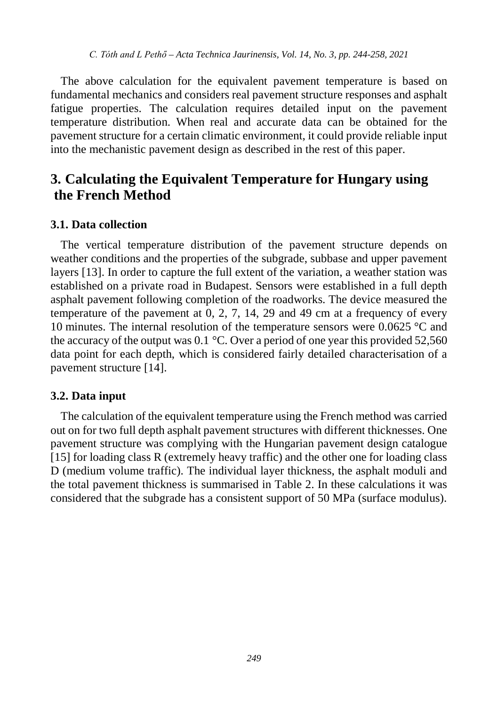The above calculation for the equivalent pavement temperature is based on fundamental mechanics and considers real pavement structure responses and asphalt fatigue properties. The calculation requires detailed input on the pavement temperature distribution. When real and accurate data can be obtained for the pavement structure for a certain climatic environment, it could provide reliable input into the mechanistic pavement design as described in the rest of this paper.

# **3. Calculating the Equivalent Temperature for Hungary using the French Method**

#### **3.1. Data collection**

The vertical temperature distribution of the pavement structure depends on weather conditions and the properties of the subgrade, subbase and upper pavement layers [13]. In order to capture the full extent of the variation, a weather station was established on a private road in Budapest. Sensors were established in a full depth asphalt pavement following completion of the roadworks. The device measured the temperature of the pavement at 0, 2, 7, 14, 29 and 49 cm at a frequency of every 10 minutes. The internal resolution of the temperature sensors were 0.0625 °C and the accuracy of the output was 0.1 °C. Over a period of one year this provided 52,560 data point for each depth, which is considered fairly detailed characterisation of a pavement structure [14].

#### **3.2. Data input**

The calculation of the equivalent temperature using the French method was carried out on for two full depth asphalt pavement structures with different thicknesses. One pavement structure was complying with the Hungarian pavement design catalogue [15] for loading class R (extremely heavy traffic) and the other one for loading class D (medium volume traffic). The individual layer thickness, the asphalt moduli and the total pavement thickness is summarised in Table 2. In these calculations it was considered that the subgrade has a consistent support of 50 MPa (surface modulus).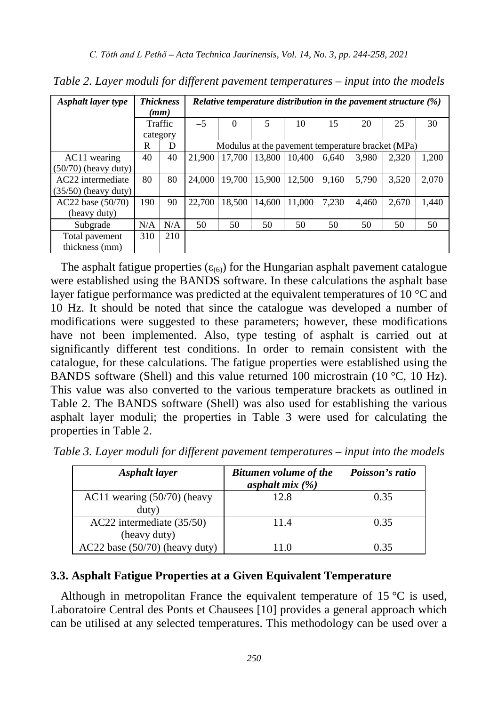| Asphalt layer type     | <b>Thickness</b><br>(mm) |     | Relative temperature distribution in the pavement structure $(\%)$ |          |        |        |       |       |                                                   |       |  |
|------------------------|--------------------------|-----|--------------------------------------------------------------------|----------|--------|--------|-------|-------|---------------------------------------------------|-------|--|
|                        | Traffic                  |     | $-5$                                                               | $\Omega$ | 5      | 10     | 15    | 20    | 25                                                | 30    |  |
|                        | category                 |     |                                                                    |          |        |        |       |       |                                                   |       |  |
|                        | R                        | D   |                                                                    |          |        |        |       |       | Modulus at the pavement temperature bracket (MPa) |       |  |
| AC11 wearing           | 40                       | 40  | 21.900                                                             | 17,700   | 13,800 | 10.400 | 6.640 | 3.980 | 2.320                                             | 1,200 |  |
| $(50/70)$ (heavy duty) |                          |     |                                                                    |          |        |        |       |       |                                                   |       |  |
| AC22 intermediate      | 80                       | 80  | 24,000                                                             | 19.700   | 15.900 | 12.500 | 9.160 | 5.790 | 3,520                                             | 2,070 |  |
| $(35/50)$ (heavy duty) |                          |     |                                                                    |          |        |        |       |       |                                                   |       |  |
| $AC22$ base $(50/70)$  | 190                      | 90  | 22.700                                                             | 18.500   | 14.600 | 11,000 | 7.230 | 4.460 | 2.670                                             | 1,440 |  |
| (heavy duty)           |                          |     |                                                                    |          |        |        |       |       |                                                   |       |  |
| Subgrade               | N/A                      | N/A | 50                                                                 | 50       | 50     | 50     | 50    | 50    | 50                                                | 50    |  |
| Total pavement         | 310                      | 210 |                                                                    |          |        |        |       |       |                                                   |       |  |
| thickness (mm)         |                          |     |                                                                    |          |        |        |       |       |                                                   |       |  |

*Table 2. Layer moduli for different pavement temperatures – input into the models*

The asphalt fatigue properties ( $\varepsilon_{(6)}$ ) for the Hungarian asphalt pavement catalogue were established using the BANDS software. In these calculations the asphalt base layer fatigue performance was predicted at the equivalent temperatures of 10  $\degree$ C and 10 Hz. It should be noted that since the catalogue was developed a number of modifications were suggested to these parameters; however, these modifications have not been implemented. Also, type testing of asphalt is carried out at significantly different test conditions. In order to remain consistent with the catalogue, for these calculations. The fatigue properties were established using the BANDS software (Shell) and this value returned 100 microstrain (10 °C, 10 Hz). This value was also converted to the various temperature brackets as outlined in Table 2. The BANDS software (Shell) was also used for establishing the various asphalt layer moduli; the properties in Table 3 were used for calculating the properties in Table 2.

| Asphalt layer                    | <b>Bitumen volume of the</b> | Poisson's ratio |
|----------------------------------|------------------------------|-----------------|
|                                  | asphalt $mix(%)$             |                 |
| AC11 wearing $(50/70)$ (heavy    | 12.8                         | 0.35            |
| $d$ uty $)$                      |                              |                 |
| AC22 intermediate (35/50)        | 11.4                         | 0.35            |
| (heavy duty)                     |                              |                 |
| $AC22$ base (50/70) (heavy duty) |                              | 0.35            |

*Table 3. Layer moduli for different pavement temperatures – input into the models*

#### **3.3. Asphalt Fatigue Properties at a Given Equivalent Temperature**

Although in metropolitan France the equivalent temperature of 15  $\degree$ C is used, Laboratoire Central des Ponts et Chausees [10] provides a general approach which can be utilised at any selected temperatures. This methodology can be used over a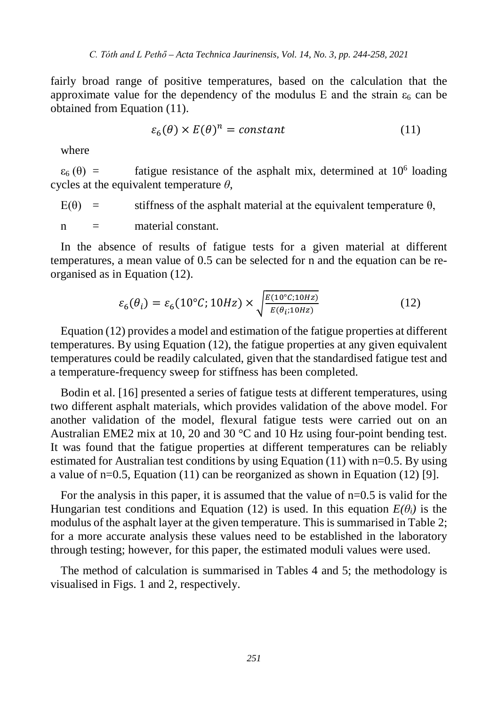fairly broad range of positive temperatures, based on the calculation that the approximate value for the dependency of the modulus E and the strain  $\varepsilon_6$  can be obtained from Equation (11).

$$
\varepsilon_6(\theta) \times E(\theta)^n = constant \tag{11}
$$

where

 $\varepsilon_6$  (θ) = fatigue resistance of the asphalt mix, determined at 10<sup>6</sup> loading cycles at the equivalent temperature *θ*,

 $E(\theta)$  = stiffness of the asphalt material at the equivalent temperature  $\theta$ .

 $n =$  material constant.

In the absence of results of fatigue tests for a given material at different temperatures, a mean value of 0.5 can be selected for n and the equation can be reorganised as in Equation (12).

$$
\varepsilon_6(\theta_i) = \varepsilon_6(10^\circ C; 10Hz) \times \sqrt{\frac{E(10^\circ C; 10Hz)}{E(\theta_{ii}10Hz)}}
$$
(12)

Equation (12) provides a model and estimation of the fatigue properties at different temperatures. By using Equation (12), the fatigue properties at any given equivalent temperatures could be readily calculated, given that the standardised fatigue test and a temperature-frequency sweep for stiffness has been completed.

Bodin et al. [16] presented a series of fatigue tests at different temperatures, using two different asphalt materials, which provides validation of the above model. For another validation of the model, flexural fatigue tests were carried out on an Australian EME2 mix at 10, 20 and 30  $^{\circ}$ C and 10 Hz using four-point bending test. It was found that the fatigue properties at different temperatures can be reliably estimated for Australian test conditions by using Equation (11) with  $n=0.5$ . By using a value of  $n=0.5$ , Equation (11) can be reorganized as shown in Equation (12) [9].

For the analysis in this paper, it is assumed that the value of n=0.5 is valid for the Hungarian test conditions and Equation (12) is used. In this equation  $E(\theta_i)$  is the modulus of the asphalt layer at the given temperature. This is summarised in Table 2; for a more accurate analysis these values need to be established in the laboratory through testing; however, for this paper, the estimated moduli values were used.

The method of calculation is summarised in Tables 4 and 5; the methodology is visualised in Figs. 1 and 2, respectively.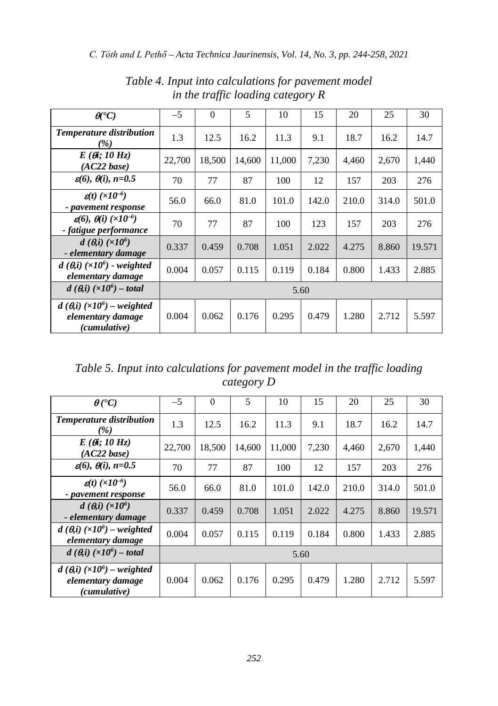| $\mathbf{\theta}^{\bullet}$ C)                                                     | $-5$   | $\Omega$ | 5      | 10     | 15    | 20    | 25    | 30     |
|------------------------------------------------------------------------------------|--------|----------|--------|--------|-------|-------|-------|--------|
| <b>Temperature distribution</b><br>(%)                                             | 1.3    | 12.5     | 16.2   | 11.3   | 9.1   | 18.7  | 16.2  | 14.7   |
| $E(\theta_i; 10 Hz)$<br>$(AC22 \, base)$                                           | 22.700 | 18,500   | 14,600 | 11.000 | 7,230 | 4,460 | 2,670 | 1,440  |
| $g(6), \theta(i), n=0.5$                                                           | 70     | 77       | 87     | 100    | 12    | 157   | 203   | 276    |
| $\mathbf{g}(t)$ ( $\times 10^{-6}$ )<br>- pavement response                        | 56.0   | 66.0     | 81.0   | 101.0  | 142.0 | 210.0 | 314.0 | 501.0  |
| $\varepsilon(6)$ , $\theta(i)$ ( $\times 10^{-6}$ )<br>- fatigue performance       | 70     | 77       | 87     | 100    | 123   | 157   | 203   | 276    |
| $d\left(\theta, i\right) \left(\times 10^6\right)$<br>- elementary damage          | 0.337  | 0.459    | 0.708  | 1.051  | 2.022 | 4.275 | 8.860 | 19.571 |
| $d(\theta, i)$ ( $\times 10^6$ ) - weighted<br>elementary damage                   | 0.004  | 0.057    | 0.115  | 0.119  | 0.184 | 0.800 | 1.433 | 2.885  |
| $d(\theta, i)$ (×10 <sup>6</sup> ) – total                                         | 5.60   |          |        |        |       |       |       |        |
| $d(\theta, i)$ (×10 <sup>6</sup> ) – weighted<br>elementary damage<br>(cumulative) | 0.004  | 0.062    | 0.176  | 0.295  | 0.479 | 1.280 | 2.712 | 5.597  |

*Table 4. Input into calculations for pavement model in the traffic loading category R*

*Table 5. Input into calculations for pavement model in the traffic loading category D*

| $\theta$ (°C)                                                                      | $-5$   | $\Omega$ | 5      | 10     | 15    | 20    | 25    | 30     |
|------------------------------------------------------------------------------------|--------|----------|--------|--------|-------|-------|-------|--------|
| <b>Temperature distribution</b><br>$\frac{1}{2}$                                   | 1.3    | 12.5     | 16.2   | 11.3   | 9.1   | 18.7  | 16.2  | 14.7   |
| $E(\theta_i; 10 Hz)$<br>$(AC22 \, base)$                                           | 22,700 | 18,500   | 14.600 | 11.000 | 7,230 | 4,460 | 2,670 | 1,440  |
| $\varepsilon(6)$ , $\theta(i)$ , $n=0.5$                                           | 70     | 77       | 87     | 100    | 12    | 157   | 203   | 276    |
| $g(t)$ ( $\times$ 10 <sup>-6</sup> )<br>- pavement response                        | 56.0   | 66.0     | 81.0   | 101.0  | 142.0 | 210.0 | 314.0 | 501.0  |
| $d\left(\theta, i\right) \left(\times 10^6\right)$<br>- elementary damage          | 0.337  | 0.459    | 0.708  | 1.051  | 2.022 | 4.275 | 8.860 | 19.571 |
| $d(\theta, i)$ (×10 <sup>6</sup> ) – weighted<br>elementary damage                 | 0.004  | 0.057    | 0.115  | 0.119  | 0.184 | 0.800 | 1.433 | 2.885  |
| $d(\theta, i)$ (×10 <sup>6</sup> ) – total                                         | 5.60   |          |        |        |       |       |       |        |
| $d(\theta, i)$ (×10 <sup>6</sup> ) – weighted<br>elementary damage<br>(cumulative) | 0.004  | 0.062    | 0.176  | 0.295  | 0.479 | 1.280 | 2.712 | 5.597  |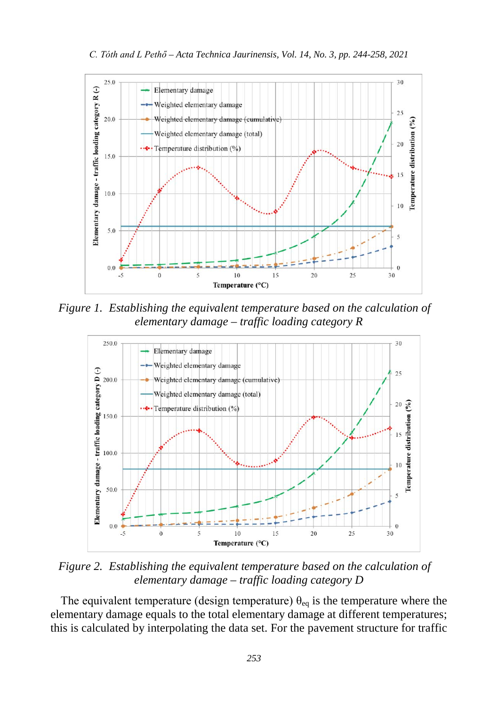

*Figure 1. Establishing the equivalent temperature based on the calculation of elementary damage – traffic loading category R*



*Figure 2. Establishing the equivalent temperature based on the calculation of elementary damage – traffic loading category D*

The equivalent temperature (design temperature)  $\theta_{eq}$  is the temperature where the elementary damage equals to the total elementary damage at different temperatures; this is calculated by interpolating the data set. For the pavement structure for traffic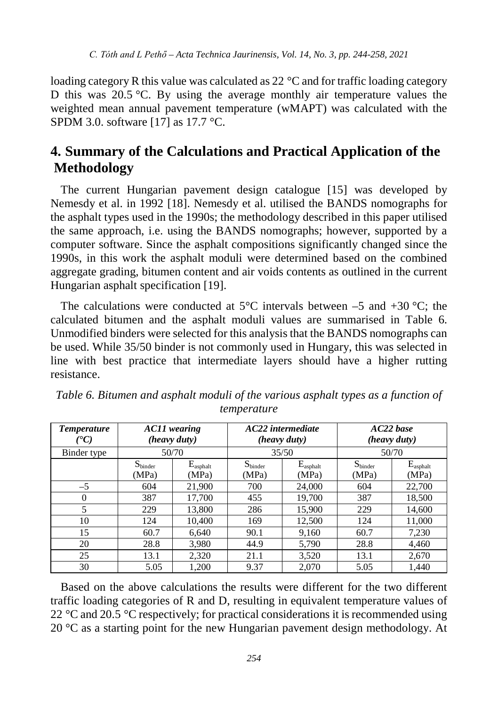loading category R this value was calculated as 22 °C and for traffic loading category D this was 20.5 °C. By using the average monthly air temperature values the weighted mean annual pavement temperature (wMAPT) was calculated with the SPDM 3.0. software [17] as 17.7 °C.

# **4. Summary of the Calculations and Practical Application of the Methodology**

The current Hungarian pavement design catalogue [15] was developed by Nemesdy et al. in 1992 [18]. Nemesdy et al. utilised the BANDS nomographs for the asphalt types used in the 1990s; the methodology described in this paper utilised the same approach, i.e. using the BANDS nomographs; however, supported by a computer software. Since the asphalt compositions significantly changed since the 1990s, in this work the asphalt moduli were determined based on the combined aggregate grading, bitumen content and air voids contents as outlined in the current Hungarian asphalt specification [19].

The calculations were conducted at  $5^{\circ}$ C intervals between –5 and +30  $^{\circ}$ C; the calculated bitumen and the asphalt moduli values are summarised in Table 6. Unmodified binders were selected for this analysis that the BANDS nomographs can be used. While 35/50 binder is not commonly used in Hungary, this was selected in line with best practice that intermediate layers should have a higher rutting resistance.

| <b>Temperature</b><br>$C^{\bullet}C$ | AC11 wearing<br>(heavy duty) |                               |                              | AC22 intermediate<br>(heavy duty) | $AC22$ base<br>(heavy duty)  |                            |  |
|--------------------------------------|------------------------------|-------------------------------|------------------------------|-----------------------------------|------------------------------|----------------------------|--|
| Binder type                          |                              | 50/70                         |                              | 35/50                             | 50/70                        |                            |  |
|                                      | $S_{\text{binder}}$<br>(MPa) | $E_{\text{asphalt}}$<br>(MPa) | $S_{\text{binder}}$<br>(MPa) | $E_{\text{asphalt}}$<br>(MPa)     | $S_{\text{binder}}$<br>(MPa) | $E_{\rm asphalt}$<br>(MPa) |  |
| $-5$                                 | 604                          | 21,900                        | 700                          | 24,000                            | 604                          | 22,700                     |  |
| $\Omega$                             | 387                          | 17,700                        | 455                          | 19,700                            | 387                          | 18,500                     |  |
| 5                                    | 229                          | 13,800                        | 286                          | 15,900                            | 229                          | 14,600                     |  |
| 10                                   | 124                          | 10,400                        | 169                          | 12,500                            | 124                          | 11,000                     |  |
| 15                                   | 60.7                         | 6,640                         | 90.1                         | 9,160                             | 60.7                         | 7,230                      |  |
| 20                                   | 28.8                         | 3,980                         | 44.9                         | 5,790                             | 28.8                         | 4,460                      |  |
| 25                                   | 13.1                         | 2,320                         | 21.1                         | 3,520                             | 13.1                         | 2,670                      |  |
| 30                                   | 5.05                         | 1,200                         | 9.37                         | 2,070                             | 5.05                         | 1,440                      |  |

| Table 6. Bitumen and asphalt moduli of the various asphalt types as a function of |  |             |  |  |  |
|-----------------------------------------------------------------------------------|--|-------------|--|--|--|
|                                                                                   |  | temperature |  |  |  |

Based on the above calculations the results were different for the two different traffic loading categories of R and D, resulting in equivalent temperature values of 22 °C and 20.5 °C respectively; for practical considerations it is recommended using  $20^{\circ}$ C as a starting point for the new Hungarian pavement design methodology. At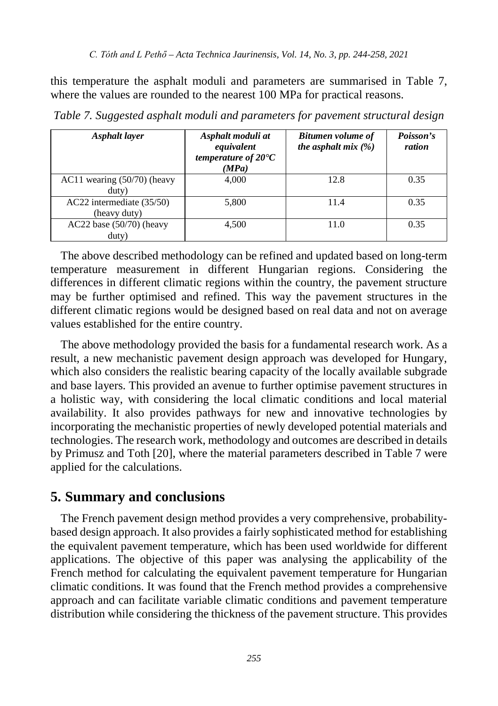this temperature the asphalt moduli and parameters are summarised in Table 7, where the values are rounded to the nearest 100 MPa for practical reasons.

| Asphalt layer                             | Asphalt moduli at<br>equivalent<br>temperature of $20^{\circ}C$<br>(MPa) | <b>Bitumen volume of</b><br>the asphalt mix $(\%)$ | Poisson's<br>ration |
|-------------------------------------------|--------------------------------------------------------------------------|----------------------------------------------------|---------------------|
| AC11 wearing $(50/70)$ (heavy<br>duty)    | 4.000                                                                    | 12.8                                               | 0.35                |
| AC22 intermediate (35/50)<br>(heavy duty) | 5,800                                                                    | 11.4                                               | 0.35                |
| $AC22$ base $(50/70)$ (heavy<br>duty)     | 4.500                                                                    | 11.0                                               | 0.35                |

*Table 7. Suggested asphalt moduli and parameters for pavement structural design*

The above described methodology can be refined and updated based on long-term temperature measurement in different Hungarian regions. Considering the differences in different climatic regions within the country, the pavement structure may be further optimised and refined. This way the pavement structures in the different climatic regions would be designed based on real data and not on average values established for the entire country.

The above methodology provided the basis for a fundamental research work. As a result, a new mechanistic pavement design approach was developed for Hungary, which also considers the realistic bearing capacity of the locally available subgrade and base layers. This provided an avenue to further optimise pavement structures in a holistic way, with considering the local climatic conditions and local material availability. It also provides pathways for new and innovative technologies by incorporating the mechanistic properties of newly developed potential materials and technologies. The research work, methodology and outcomes are described in details by Primusz and Toth [20], where the material parameters described in Table 7 were applied for the calculations.

### **5. Summary and conclusions**

The French pavement design method provides a very comprehensive, probabilitybased design approach. It also provides a fairly sophisticated method for establishing the equivalent pavement temperature, which has been used worldwide for different applications. The objective of this paper was analysing the applicability of the French method for calculating the equivalent pavement temperature for Hungarian climatic conditions. It was found that the French method provides a comprehensive approach and can facilitate variable climatic conditions and pavement temperature distribution while considering the thickness of the pavement structure. This provides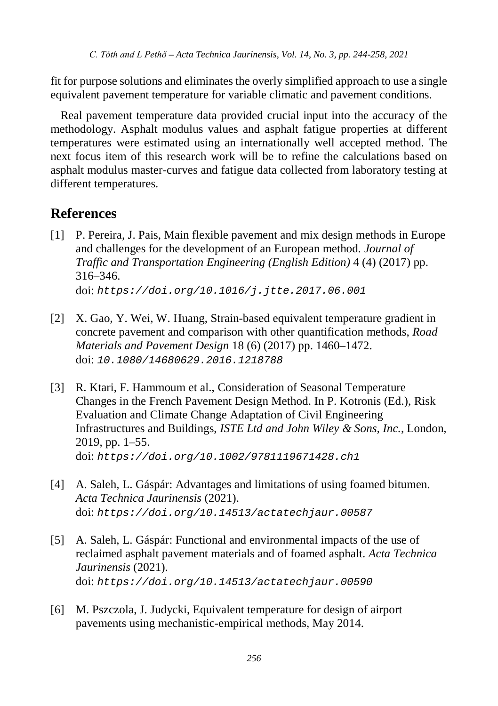fit for purpose solutions and eliminates the overly simplified approach to use a single equivalent pavement temperature for variable climatic and pavement conditions.

Real pavement temperature data provided crucial input into the accuracy of the methodology. Asphalt modulus values and asphalt fatigue properties at different temperatures were estimated using an internationally well accepted method. The next focus item of this research work will be to refine the calculations based on asphalt modulus master-curves and fatigue data collected from laboratory testing at different temperatures.

# **References**

- [1] P. Pereira, J. Pais, Main flexible pavement and mix design methods in Europe and challenges for the development of an European method*. Journal of Traffic and Transportation Engineering (English Edition)* 4 (4) (2017) pp. 316–346. doi: *https://doi.org/10.1016/j.jtte.2017.06.001*
- [2] X. Gao, Y. Wei, W. Huang, Strain-based equivalent temperature gradient in concrete pavement and comparison with other quantification methods, *Road Materials and Pavement Design* 18 (6) (2017) pp. 1460–1472. doi: *10.1080/14680629.2016.1218788*
- [3] R. Ktari, F. Hammoum et al., Consideration of Seasonal Temperature Changes in the French Pavement Design Method. In P. Kotronis (Ed.), Risk Evaluation and Climate Change Adaptation of Civil Engineering Infrastructures and Buildings, *ISTE Ltd and John Wiley & Sons, Inc.*, London, 2019, pp. 1–55. doi: *https://doi.org/10.1002/9781119671428.ch1*
- [4] A. Saleh, L. Gáspár: Advantages and limitations of using foamed bitumen. *Acta Technica Jaurinensis* (2021). doi: *https://doi.org/10.14513/actatechjaur.00587*
- [5] A. Saleh, L. Gáspár: Functional and environmental impacts of the use of reclaimed asphalt pavement materials and of foamed asphalt. *Acta Technica Jaurinensis* (2021). doi: *https://doi.org/10.14513/actatechjaur.00590*
- [6] M. Pszczola, J. Judycki, Equivalent temperature for design of airport pavements using mechanistic-empirical methods, May 2014.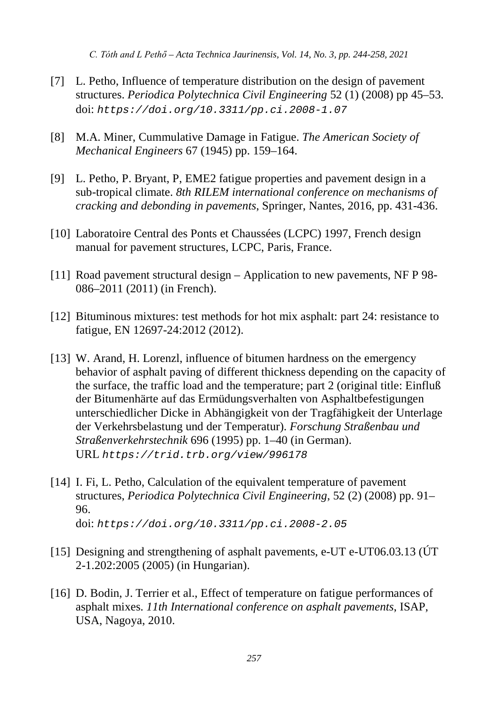*C. Tóth and L Pethő – Acta Technica Jaurinensis, Vol. 14, No. 3, pp. 244-258, 2021*

- [7] L. Petho, Influence of temperature distribution on the design of pavement structures. *Periodica Polytechnica Civil Engineering* 52 (1) (2008) pp 45–53. doi: *<https://doi.org/10.3311/pp.ci.2008-1.07>*
- [8] M.A. Miner, Cummulative Damage in Fatigue. *The American Society of Mechanical Engineers* 67 (1945) pp. 159–164.
- [9] L. Petho, P. Bryant, P, EME2 fatigue properties and pavement design in a sub-tropical climate. *8th RILEM international conference on mechanisms of cracking and debonding in pavements*, Springer, Nantes, 2016, pp. 431-436.
- [10] Laboratoire Central des Ponts et Chaussées (LCPC) 1997, French design manual for pavement structures, LCPC, Paris, France.
- [11] Road pavement structural design Application to new pavements, NF P 98- 086–2011 (2011) (in French).
- [12] Bituminous mixtures: test methods for hot mix asphalt: part 24: resistance to fatigue, EN 12697-24:2012 (2012).
- [13] W. Arand, H. Lorenzl, influence of bitumen hardness on the emergency behavior of asphalt paving of different thickness depending on the capacity of the surface, the traffic load and the temperature; part 2 (original title: Einfluß der Bitumenhärte auf das Ermüdungsverhalten von Asphaltbefestigungen unterschiedlicher Dicke in Abhängigkeit von der Tragfähigkeit der Unterlage der Verkehrsbelastung und der Temperatur). *Forschung Straßenbau und Straßenverkehrstechnik* 696 (1995) pp. 1–40 (in German). URL *https://trid.trb.org/view/996178*
- [14] I. Fi, L. Petho, Calculation of the equivalent temperature of pavement structures, *Periodica Polytechnica Civil Engineering*, 52 (2) (2008) pp. 91– 96. doi: *<https://doi.org/10.3311/pp.ci.2008-2.05>*

- [15] Designing and strengthening of asphalt pavements, e-UT e-UT06.03.13 (ÚT 2-1.202:2005 (2005) (in Hungarian).
- [16] D. Bodin, J. Terrier et al., Effect of temperature on fatigue performances of asphalt mixes. *11th International conference on asphalt pavements*, ISAP, USA, Nagoya, 2010.